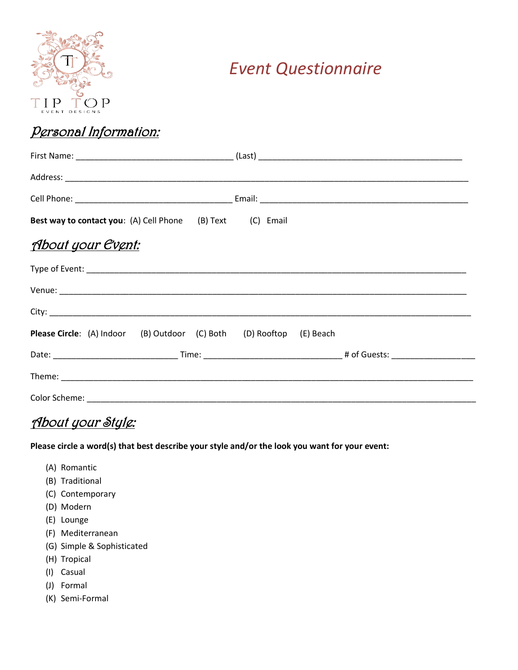

## *Event Questionnaire*

## Personal Information:

| <b>Best way to contact you:</b> (A) Cell Phone (B) Text (C) Email           |  |
|-----------------------------------------------------------------------------|--|
| <u> About your Event:</u>                                                   |  |
|                                                                             |  |
|                                                                             |  |
|                                                                             |  |
| <b>Please Circle:</b> (A) Indoor (B) Outdoor (C) Both (D) Rooftop (E) Beach |  |
|                                                                             |  |
|                                                                             |  |
|                                                                             |  |

## About your Style:

**Please circle a word(s) that best describe your style and/or the look you want for your event:**

- (A) Romantic
- (B) Traditional
- (C) Contemporary
- (D) Modern
- (E) Lounge
- (F) Mediterranean
- (G) Simple & Sophisticated
- (H) Tropical
- (I) Casual
- (J) Formal
- (K) Semi-Formal